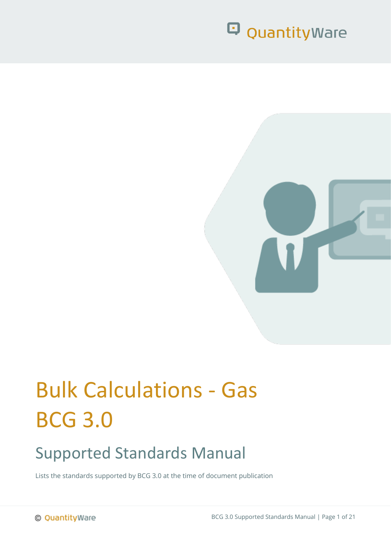

# Bulk Calculations - Gas BCG 3.0

## Supported Standards Manual

Lists the standards supported by BCG 3.0 at the time of document publication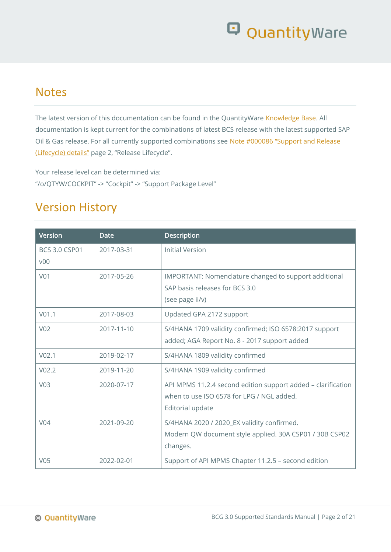### **Notes**

The latest version of this documentation can be found in the QuantityWare [Knowledge Base.](https://www.quantityware.com/support/knowledge-base/) All documentation is kept current for the combinations of latest BCS release with the latest supported SAP Oil & Gas release. For all currently supported combinations see Note #000086 "Support and Release [\(Lifecycle\) details"](https://www.quantityware.com/support/knowledge-base/?sortOrder=desc&sortBy=date&title=000086) page 2, "Release Lifecycle".

Your release level can be determined via: "/o/QTYW/COCKPIT" -> "Cockpit" -> "Support Package Level"

## Version History

| Version                                 | Date       | Description                                                                                                                   |
|-----------------------------------------|------------|-------------------------------------------------------------------------------------------------------------------------------|
| <b>BCS 3.0 CSP01</b><br>V <sub>00</sub> | 2017-03-31 | <b>Initial Version</b>                                                                                                        |
| V <sub>01</sub>                         | 2017-05-26 | IMPORTANT: Nomenclature changed to support additional<br>SAP basis releases for BCS 3.0<br>(see page ii/v)                    |
| V <sub>01.1</sub>                       | 2017-08-03 | Updated GPA 2172 support                                                                                                      |
| V <sub>02</sub>                         | 2017-11-10 | S/4HANA 1709 validity confirmed; ISO 6578:2017 support<br>added; AGA Report No. 8 - 2017 support added                        |
| V <sub>02.1</sub>                       | 2019-02-17 | S/4HANA 1809 validity confirmed                                                                                               |
| V <sub>02.2</sub>                       | 2019-11-20 | S/4HANA 1909 validity confirmed                                                                                               |
| V <sub>03</sub>                         | 2020-07-17 | API MPMS 11.2.4 second edition support added - clarification<br>when to use ISO 6578 for LPG / NGL added.<br>Editorial update |
| V <sub>04</sub>                         | 2021-09-20 | S/4HANA 2020 / 2020_EX validity confirmed.<br>Modern QW document style applied. 30A CSP01 / 30B CSP02<br>changes.             |
| V <sub>05</sub>                         | 2022-02-01 | Support of API MPMS Chapter 11.2.5 - second edition                                                                           |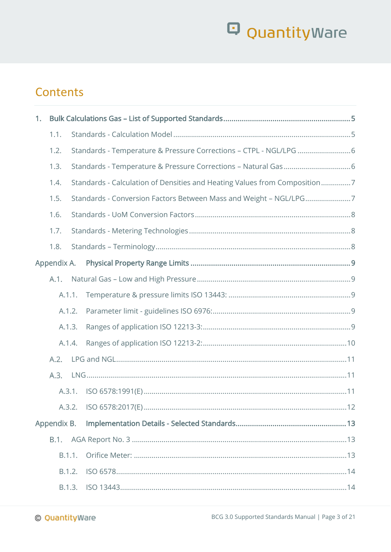## **Contents**

| 1. |             |        |                                                                           |  |  |  |
|----|-------------|--------|---------------------------------------------------------------------------|--|--|--|
|    | 1.1.        |        |                                                                           |  |  |  |
|    | 1.2.        |        |                                                                           |  |  |  |
|    | 1.3.        |        |                                                                           |  |  |  |
|    | 1.4.        |        | Standards - Calculation of Densities and Heating Values from Composition7 |  |  |  |
|    | 1.5.        |        | Standards - Conversion Factors Between Mass and Weight - NGL/LPG7         |  |  |  |
|    | 1.6.        |        |                                                                           |  |  |  |
|    | 1.7.        |        |                                                                           |  |  |  |
|    | 1.8.        |        |                                                                           |  |  |  |
|    | Appendix A. |        |                                                                           |  |  |  |
|    | A.1.        |        |                                                                           |  |  |  |
|    |             | A.1.1. |                                                                           |  |  |  |
|    | A.1.2.      |        |                                                                           |  |  |  |
|    |             | A.1.3. |                                                                           |  |  |  |
|    | A.1.4.      |        |                                                                           |  |  |  |
|    | A.2.        |        |                                                                           |  |  |  |
|    | A.3.        |        |                                                                           |  |  |  |
|    |             | A.3.1. |                                                                           |  |  |  |
|    |             |        |                                                                           |  |  |  |
|    | Appendix B. |        |                                                                           |  |  |  |
|    | B.1.        |        |                                                                           |  |  |  |
|    | B.1.1.      |        |                                                                           |  |  |  |
|    | B.1.2.      |        |                                                                           |  |  |  |
|    |             | B.1.3. |                                                                           |  |  |  |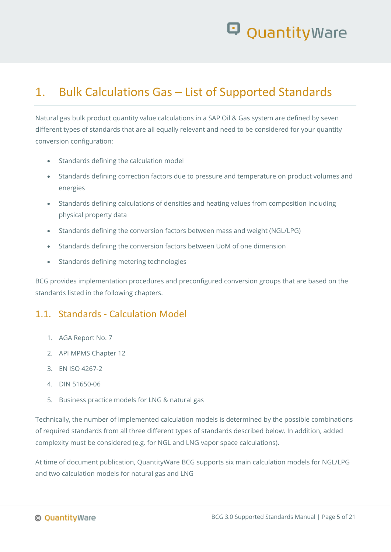

## <span id="page-4-0"></span>1. Bulk Calculations Gas – List of Supported Standards

Natural gas bulk product quantity value calculations in a SAP Oil & Gas system are defined by seven different types of standards that are all equally relevant and need to be considered for your quantity conversion configuration:

- Standards defining the calculation model
- Standards defining correction factors due to pressure and temperature on product volumes and energies
- Standards defining calculations of densities and heating values from composition including physical property data
- Standards defining the conversion factors between mass and weight (NGL/LPG)
- Standards defining the conversion factors between UoM of one dimension
- Standards defining metering technologies

BCG provides implementation procedures and preconfigured conversion groups that are based on the standards listed in the following chapters.

### <span id="page-4-1"></span>1.1. Standards - Calculation Model

- 1. AGA Report No. 7
- 2. API MPMS Chapter 12
- 3. EN ISO 4267-2
- 4. DIN 51650-06
- 5. Business practice models for LNG & natural gas

Technically, the number of implemented calculation models is determined by the possible combinations of required standards from all three different types of standards described below. In addition, added complexity must be considered (e.g. for NGL and LNG vapor space calculations).

At time of document publication, QuantityWare BCG supports six main calculation models for NGL/LPG and two calculation models for natural gas and LNG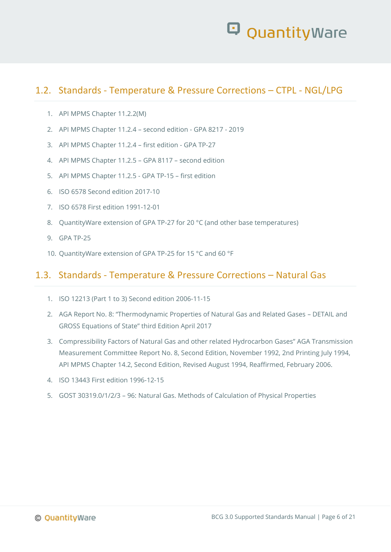### <span id="page-5-0"></span>1.2. Standards - Temperature & Pressure Corrections – CTPL - NGL/LPG

- 1. API MPMS Chapter 11.2.2(M)
- 2. API MPMS Chapter 11.2.4 second edition GPA 8217 2019
- 3. API MPMS Chapter 11.2.4 first edition GPA TP-27
- 4. API MPMS Chapter 11.2.5 GPA 8117 second edition
- 5. API MPMS Chapter 11.2.5 GPA TP-15 first edition
- 6. ISO 6578 Second edition 2017-10
- 7. ISO 6578 First edition 1991-12-01
- 8. QuantityWare extension of GPA TP-27 for 20 °C (and other base temperatures)
- 9. GPA TP-25
- 10. QuantityWare extension of GPA TP-25 for 15 °C and 60 °F

### <span id="page-5-1"></span>1.3. Standards - Temperature & Pressure Corrections – Natural Gas

- 1. ISO 12213 (Part 1 to 3) Second edition 2006-11-15
- 2. AGA Report No. 8: "Thermodynamic Properties of Natural Gas and Related Gases DETAIL and GROSS Equations of State" third Edition April 2017
- 3. Compressibility Factors of Natural Gas and other related Hydrocarbon Gases" AGA Transmission Measurement Committee Report No. 8, Second Edition, November 1992, 2nd Printing July 1994, API MPMS Chapter 14.2, Second Edition, Revised August 1994, Reaffirmed, February 2006.
- 4. ISO 13443 First edition 1996-12-15
- 5. GOST 30319.0/1/2/3 96: Natural Gas. Methods of Calculation of Physical Properties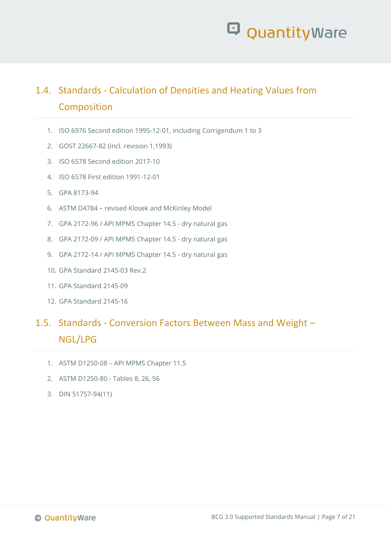## <span id="page-6-0"></span>1.4. Standards - Calculation of Densities and Heating Values from Composition

- 1. ISO 6976 Second edition 1995-12-01, including Corrigendum 1 to 3
- 2. GOST 22667-82 (incl. revision 1,1993)
- 3. ISO 6578 Second edition 2017-10
- 4. ISO 6578 First edition 1991-12-01
- 5. GPA 8173-94
- 6. ASTM D4784 revised Klosek and McKinley Model
- 7. GPA 2172-96 / API MPMS Chapter 14.5 dry natural gas
- 8. GPA 2172-09 / API MPMS Chapter 14.5 dry natural gas
- 9. GPA 2172-14 / API MPMS Chapter 14.5 dry natural gas
- 10. GPA Standard 2145-03 Rev.2
- 11. GPA Standard 2145-09
- 12. GPA Standard 2145-16

## <span id="page-6-1"></span>1.5. Standards - Conversion Factors Between Mass and Weight – NGL/LPG

- 1. ASTM D1250-08 API MPMS Chapter 11.5
- 2. ASTM D1250-80 Tables 8, 26, 56
- 3. DIN 51757-94(11)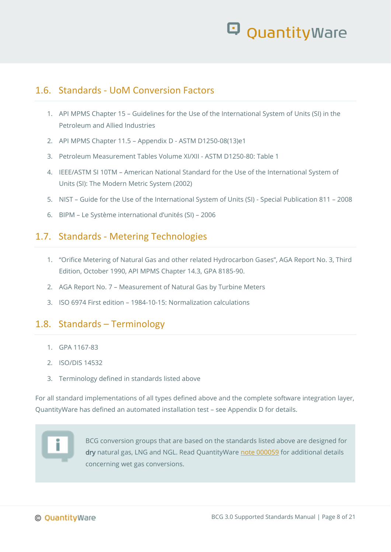

### <span id="page-7-0"></span>1.6. Standards - UoM Conversion Factors

- 1. API MPMS Chapter 15 Guidelines for the Use of the International System of Units (SI) in the Petroleum and Allied Industries
- 2. API MPMS Chapter 11.5 Appendix D ASTM D1250-08(13)e1
- 3. Petroleum Measurement Tables Volume XI/XII ASTM D1250-80: Table 1
- 4. IEEE/ASTM SI 10TM American National Standard for the Use of the International System of Units (SI): The Modern Metric System (2002)
- 5. NIST Guide for the Use of the International System of Units (SI) Special Publication 811 2008
- 6. BIPM Le Système international d'unités (SI) 2006

#### <span id="page-7-1"></span>1.7. Standards - Metering Technologies

- 1. "Orifice Metering of Natural Gas and other related Hydrocarbon Gases", AGA Report No. 3, Third Edition, October 1990, API MPMS Chapter 14.3, GPA 8185-90.
- 2. AGA Report No. 7 Measurement of Natural Gas by Turbine Meters
- 3. ISO 6974 First edition 1984-10-15: Normalization calculations

### <span id="page-7-2"></span>1.8. Standards – Terminology

- 1. GPA 1167-83
- 2. ISO/DIS 14532
- 3. Terminology defined in standards listed above

For all standard implementations of all types defined above and the complete software integration layer, QuantityWare has defined an automated installation test – see Appendix D for details.



BCG conversion groups that are based on the standards listed above are designed for dry natural gas, LNG and NGL. Read QuantityWare [note 000059](https://www.quantityware.com/support/knowledge-base/?kbpage=1&sortOrder=desc&sortBy=date&title=note%20000059&type=Notes&product=BCG%2CCTG&category=Documentation) for additional details concerning wet gas conversions.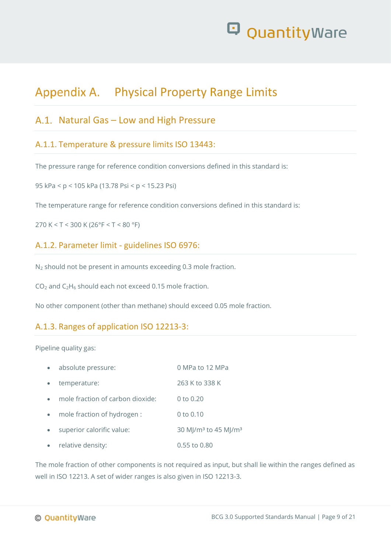## <span id="page-8-0"></span>Appendix A. Physical Property Range Limits

### <span id="page-8-1"></span>A.1. Natural Gas - Low and High Pressure

#### <span id="page-8-2"></span>A.1.1. Temperature & pressure limits ISO 13443:

The pressure range for reference condition conversions defined in this standard is:

95 kPa < p < 105 kPa (13.78 Psi < p < 15.23 Psi)

The temperature range for reference condition conversions defined in this standard is:

270 K < T < 300 K (26°F < T < 80 °F)

#### <span id="page-8-3"></span>A.1.2. Parameter limit - guidelines ISO 6976:

N<sup>2</sup> should not be present in amounts exceeding 0.3 mole fraction.

 $CO<sub>2</sub>$  and  $C<sub>2</sub>H<sub>6</sub>$  should each not exceed 0.15 mole fraction.

No other component (other than methane) should exceed 0.05 mole fraction.

#### <span id="page-8-4"></span>A.1.3. Ranges of application ISO 12213-3:

Pipeline quality gas:

| absolute pressure:               | 0 MPa to 12 MPa                              |
|----------------------------------|----------------------------------------------|
| temperature:                     | 263 K to 338 K                               |
| mole fraction of carbon dioxide: | 0 to $0.20$                                  |
| mole fraction of hydrogen :      | 0 to $0.10$                                  |
| superior calorific value:        | 30 MJ/m <sup>3</sup> to 45 MJ/m <sup>3</sup> |
| relative density:                | 0.55 to 0.80                                 |

The mole fraction of other components is not required as input, but shall lie within the ranges defined as well in ISO 12213. A set of wider ranges is also given in ISO 12213-3.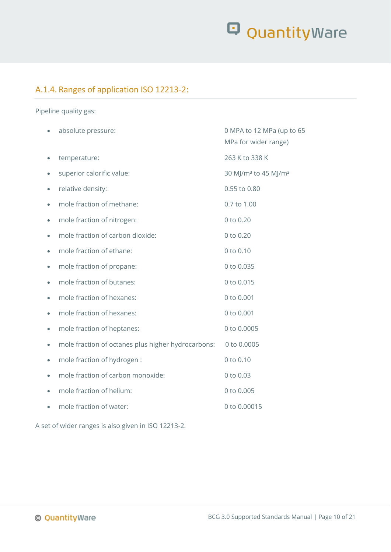

### <span id="page-9-0"></span>A.1.4. Ranges of application ISO 12213-2:

Pipeline quality gas:

|   | absolute pressure:                                 | 0 MPA to 12 MPa (up to 65<br>MPa for wider range) |
|---|----------------------------------------------------|---------------------------------------------------|
|   | temperature:                                       | 263 K to 338 K                                    |
|   | superior calorific value:                          | 30 MJ/m <sup>3</sup> to 45 MJ/m <sup>3</sup>      |
|   | relative density:                                  | 0.55 to 0.80                                      |
|   | mole fraction of methane:                          | 0.7 to 1.00                                       |
|   | mole fraction of nitrogen:                         | 0 to 0.20                                         |
|   | mole fraction of carbon dioxide:                   | 0 to 0.20                                         |
|   | mole fraction of ethane:                           | 0 to 0.10                                         |
|   | mole fraction of propane:                          | 0 to 0.035                                        |
|   | mole fraction of butanes:                          | 0 to 0.015                                        |
|   | mole fraction of hexanes:                          | 0 to 0.001                                        |
|   | mole fraction of hexanes:                          | 0 to 0.001                                        |
|   | mole fraction of heptanes:                         | 0 to 0.0005                                       |
|   | mole fraction of octanes plus higher hydrocarbons: | 0 to 0.0005                                       |
| ۰ | mole fraction of hydrogen :                        | 0 to 0.10                                         |
|   | mole fraction of carbon monoxide:                  | 0 to 0.03                                         |
|   | mole fraction of helium:                           | 0 to 0.005                                        |
|   | mole fraction of water:                            | 0 to 0.00015                                      |

A set of wider ranges is also given in ISO 12213-2.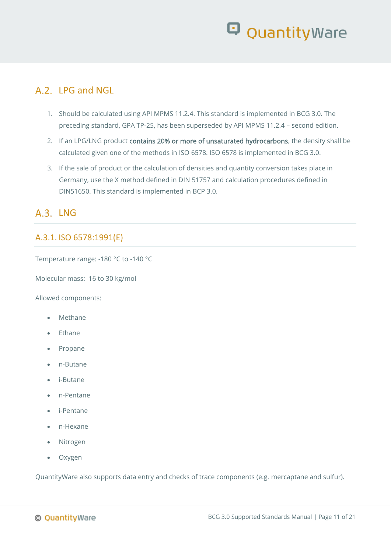### <span id="page-10-0"></span>A.2. LPG and NGL

- 1. Should be calculated using API MPMS 11.2.4. This standard is implemented in BCG 3.0. The preceding standard, GPA TP-25, has been superseded by API MPMS 11.2.4 – second edition.
- 2. If an LPG/LNG product contains 20% or more of unsaturated hydrocarbons, the density shall be calculated given one of the methods in ISO 6578. ISO 6578 is implemented in BCG 3.0.
- 3. If the sale of product or the calculation of densities and quantity conversion takes place in Germany, use the X method defined in DIN 51757 and calculation procedures defined in DIN51650. This standard is implemented in BCP 3.0.

### <span id="page-10-1"></span> $A.3.$  ING

### <span id="page-10-2"></span>A.3.1. ISO 6578:1991(E)

Temperature range: -180 °C to -140 °C

Molecular mass: 16 to 30 kg/mol

Allowed components:

- Methane
- Ethane
- Propane
- n-Butane
- i-Butane
- n-Pentane
- i-Pentane
- n-Hexane
- Nitrogen
- Oxygen

QuantityWare also supports data entry and checks of trace components (e.g. mercaptane and sulfur).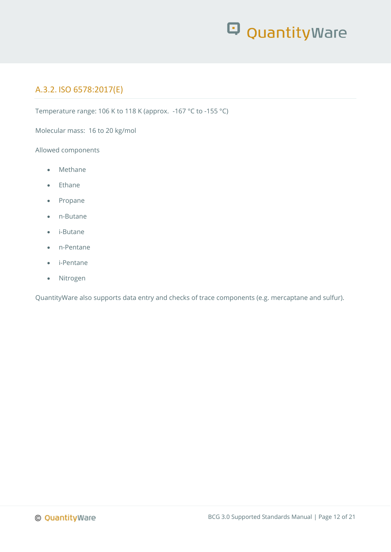

### <span id="page-11-0"></span>A.3.2. ISO 6578:2017(E)

Temperature range: 106 K to 118 K (approx. -167 °C to -155 °C)

Molecular mass: 16 to 20 kg/mol

Allowed components

- Methane
- Ethane
- Propane
- n-Butane
- i-Butane
- n-Pentane
- i-Pentane
- Nitrogen

QuantityWare also supports data entry and checks of trace components (e.g. mercaptane and sulfur).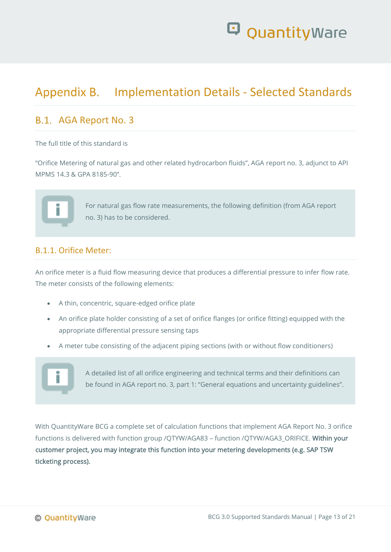## <span id="page-12-0"></span>Appendix B. Implementation Details - Selected Standards

### <span id="page-12-1"></span>B.1. AGA Report No. 3

The full title of this standard is

"Orifice Metering of natural gas and other related hydrocarbon fluids", AGA report no. 3, adjunct to API MPMS 14.3 & GPA 8185-90".



For natural gas flow rate measurements, the following definition (from AGA report no. 3) has to be considered.

#### <span id="page-12-2"></span>B.1.1. Orifice Meter:

An orifice meter is a fluid flow measuring device that produces a differential pressure to infer flow rate. The meter consists of the following elements:

- A thin, concentric, square-edged orifice plate
- An orifice plate holder consisting of a set of orifice flanges (or orifice fitting) equipped with the appropriate differential pressure sensing taps
- A meter tube consisting of the adjacent piping sections (with or without flow conditioners)



A detailed list of all orifice engineering and technical terms and their definitions can be found in AGA report no. 3, part 1: "General equations and uncertainty guidelines".

With QuantityWare BCG a complete set of calculation functions that implement AGA Report No. 3 orifice functions is delivered with function group /QTYW/AGA83 – function /QTYW/AGA3\_ORIFICE. Within your customer project, you may integrate this function into your metering developments (e.g. SAP TSW ticketing process).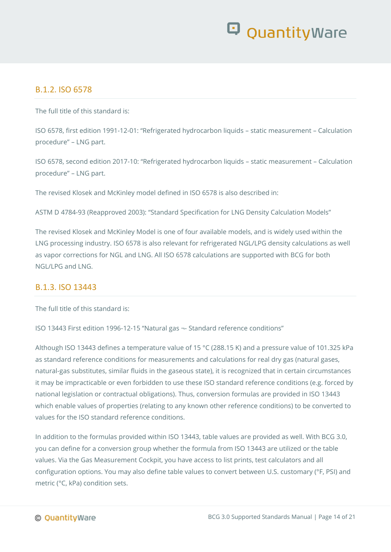#### <span id="page-13-0"></span>B.1.2. ISO 6578

The full title of this standard is:

ISO 6578, first edition 1991-12-01: "Refrigerated hydrocarbon liquids – static measurement – Calculation procedure" – LNG part.

ISO 6578, second edition 2017-10: "Refrigerated hydrocarbon liquids – static measurement – Calculation procedure" – LNG part.

The revised Klosek and McKinley model defined in ISO 6578 is also described in:

ASTM D 4784-93 (Reapproved 2003): "Standard Specification for LNG Density Calculation Models"

The revised Klosek and McKinley Model is one of four available models, and is widely used within the LNG processing industry. ISO 6578 is also relevant for refrigerated NGL/LPG density calculations as well as vapor corrections for NGL and LNG. All ISO 6578 calculations are supported with BCG for both NGL/LPG and LNG.

#### <span id="page-13-1"></span>B.1.3. ISO 13443

The full title of this standard is:

ISO 13443 First edition 1996-12-15 "Natural gas ¬- Standard reference conditions"

Although ISO 13443 defines a temperature value of 15 °C (288.15 K) and a pressure value of 101.325 kPa as standard reference conditions for measurements and calculations for real dry gas (natural gases, natural-gas substitutes, similar fluids in the gaseous state), it is recognized that in certain circumstances it may be impracticable or even forbidden to use these ISO standard reference conditions (e.g. forced by national legislation or contractual obligations). Thus, conversion formulas are provided in ISO 13443 which enable values of properties (relating to any known other reference conditions) to be converted to values for the ISO standard reference conditions.

In addition to the formulas provided within ISO 13443, table values are provided as well. With BCG 3.0, you can define for a conversion group whether the formula from ISO 13443 are utilized or the table values. Via the Gas Measurement Cockpit, you have access to list prints, test calculators and all configuration options. You may also define table values to convert between U.S. customary (°F, PSI) and metric (°C, kPa) condition sets.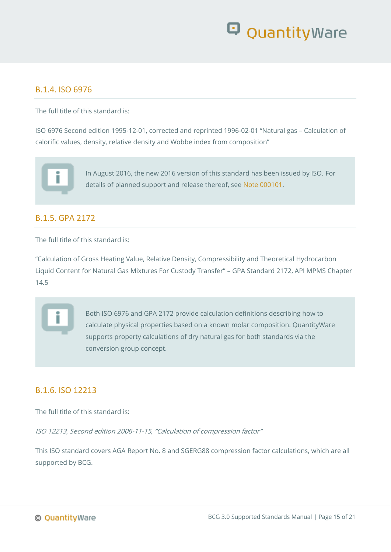## <mark>그 Quantity</mark>Ware

#### <span id="page-14-0"></span>B.1.4. ISO 6976

The full title of this standard is:

ISO 6976 Second edition 1995-12-01, corrected and reprinted 1996-02-01 "Natural gas – Calculation of calorific values, density, relative density and Wobbe index from composition"



In August 2016, the new 2016 version of this standard has been issued by ISO. For details of planned support and release thereof, see [Note 000101.](https://www.quantityware.com/support/knowledge-base/?kbpage=1&sortOrder=desc&sortBy=date&title=000101)

#### <span id="page-14-1"></span>B.1.5. GPA 2172

The full title of this standard is:

"Calculation of Gross Heating Value, Relative Density, Compressibility and Theoretical Hydrocarbon Liquid Content for Natural Gas Mixtures For Custody Transfer" – GPA Standard 2172, API MPMS Chapter 14.5



Both ISO 6976 and GPA 2172 provide calculation definitions describing how to calculate physical properties based on a known molar composition. QuantityWare supports property calculations of dry natural gas for both standards via the conversion group concept.

#### <span id="page-14-2"></span>B.1.6. ISO 12213

The full title of this standard is:

ISO 12213, Second edition 2006-11-15, "Calculation of compression factor"

This ISO standard covers AGA Report No. 8 and SGERG88 compression factor calculations, which are all supported by BCG.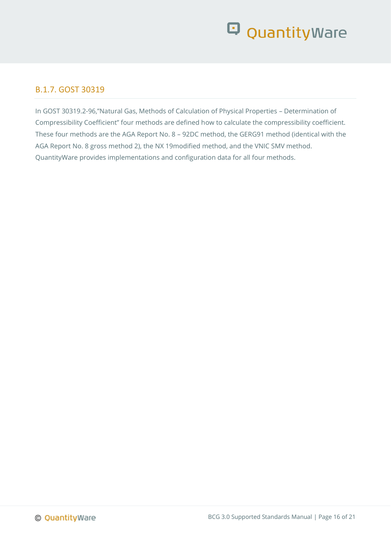#### <span id="page-15-0"></span>B.1.7. GOST 30319

In GOST 30319.2-96,"Natural Gas, Methods of Calculation of Physical Properties – Determination of Compressibility Coefficient" four methods are defined how to calculate the compressibility coefficient. These four methods are the AGA Report No. 8 – 92DC method, the GERG91 method (identical with the AGA Report No. 8 gross method 2), the NX 19modified method, and the VNIC SMV method. QuantityWare provides implementations and configuration data for all four methods.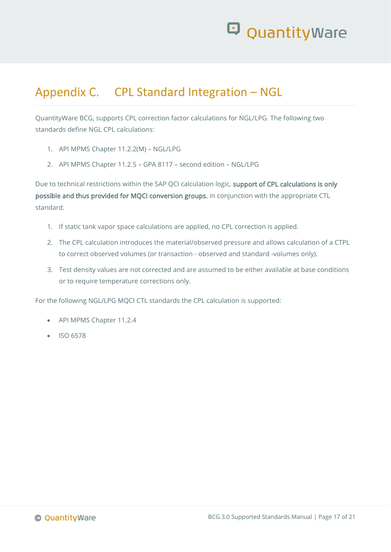

## <span id="page-16-0"></span>Appendix C. CPL Standard Integration - NGL

QuantityWare BCG, supports CPL correction factor calculations for NGL/LPG. The following two standards define NGL CPL calculations:

- 1. API MPMS Chapter 11.2.2(M) NGL/LPG
- 2. API MPMS Chapter 11.2.5 GPA 8117 second edition NGL/LPG

Due to technical restrictions within the SAP QCI calculation logic, support of CPL calculations is only possible and thus provided for MQCI conversion groups, in conjunction with the appropriate CTL standard.

- 1. If static tank vapor space calculations are applied, no CPL correction is applied.
- 2. The CPL calculation introduces the material/observed pressure and allows calculation of a CTPL to correct observed volumes (or transaction - observed and standard -volumes only).
- 3. Test density values are not corrected and are assumed to be either available at base conditions or to require temperature corrections only.

For the following NGL/LPG MQCI CTL standards the CPL calculation is supported:

- API MPMS Chapter 11.2.4
- ISO 6578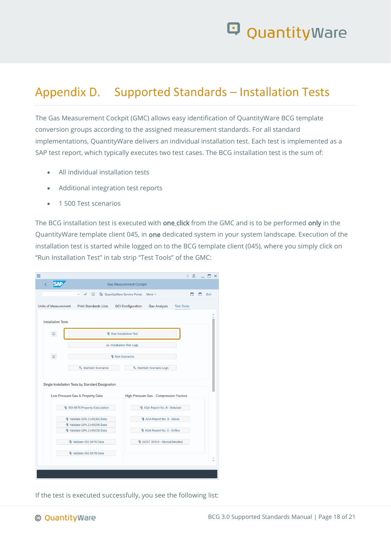

## <span id="page-17-0"></span>Appendix D. Supported Standards – Installation Tests

The Gas Measurement Cockpit (GMC) allows easy identification of QuantityWare BCG template conversion groups according to the assigned measurement standards. For all standard implementations, QuantityWare delivers an individual installation test. Each test is implemented as a SAP test report, which typically executes two test cases. The BCG installation test is the sum of:

- All individual installation tests
- Additional integration test reports
- 1 500 Test scenarios

The BCG installation test is executed with one click from the GMC and is to be performed only in the QuantityWare template client 045, in one dedicated system in your system landscape. Execution of the installation test is started while logged on to the BCG template client (045), where you simply click on "Run Installation Test" in tab strip "Test Tools" of the GMC:

| ≡                           |                                                              | 岛<br>$\left\langle \right\rangle$                                    | $\times$ |
|-----------------------------|--------------------------------------------------------------|----------------------------------------------------------------------|----------|
| K                           |                                                              | <b>Gas Measurement Cockpit</b>                                       |          |
|                             | $\Box$<br>$\checkmark$<br>$\vee$ .                           | Co QuantityWare Service Portal<br>п<br>л<br>More $\vee$<br>Exit      |          |
| <b>Units of Measurement</b> | <b>Print Standards Lists</b>                                 | <b>QCI Configuration</b><br><b>Gas Analysis</b><br><b>Test Tools</b> |          |
| <b>Installation Tests</b>   |                                                              |                                                                      |          |
| 団                           |                                                              | ବ Run Installation Test                                              |          |
|                             |                                                              | 68 Installation Test Logs                                            |          |
| $\Box$                      |                                                              | 국 Run Scenarios                                                      |          |
|                             | ९ Maintain Scenarios                                         | ९ Maintain Scenario Logs                                             |          |
|                             |                                                              |                                                                      |          |
|                             | Single Installation Tests by Standard Designation            |                                                                      |          |
|                             | Low Pressure Gas & Property Data                             | High Pressure Gas - Compression Factors                              |          |
|                             | ₹ ISO 6976 Property Calculation                              | 导 AGA Report No. 8 - Detailed                                        |          |
|                             | 국 Validate GPA 2145(16) Data                                 | 국 AGA Report No. 8 - Gross                                           |          |
|                             | 脊 Validate GPA 2145(09) Data<br>국 Validate GPA 2145(03) Data | 귝 AGA Report No. 3 - Orifice                                         |          |
|                             | 차 Validate ISO 6976 Data                                     | 국 GOST 30319 - Gross&Detailed                                        |          |
|                             |                                                              |                                                                      |          |
|                             | ବ Validate ISO 6578 Data                                     |                                                                      |          |
|                             |                                                              |                                                                      |          |
|                             |                                                              |                                                                      |          |

If the test is executed successfully, you see the following list: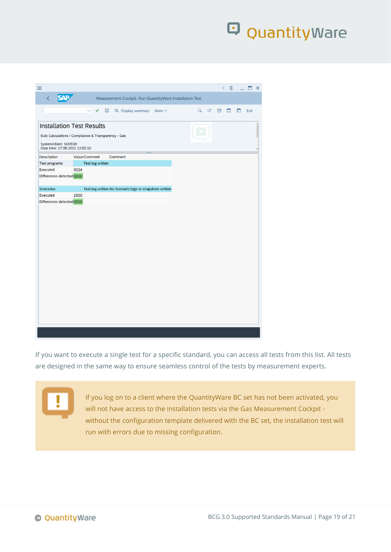| ≡                                                        |                                                                        |          |       | $\langle$ | $6 - 7 x$ |      |           |
|----------------------------------------------------------|------------------------------------------------------------------------|----------|-------|-----------|-----------|------|-----------|
| <b>SAP</b><br>K                                          | Measurement Cockpit: Run QuantityWare Installation Test                |          |       |           |           |      |           |
|                                                          |                                                                        |          |       |           |           |      |           |
|                                                          | $\vee$ $\vee$<br>$\boxplus$<br>$\mathbb Q$ Display summary More $\vee$ | $\alpha$ | $Q^+$ | 骨口口       |           | Exit |           |
|                                                          | <b>Installation Test Results</b>                                       |          |       |           |           |      | $\hat{ }$ |
|                                                          | Bulk Calculations / Compliance & Transparency - Gas                    |          |       |           |           |      |           |
| System/client: SOI/030<br>Date time: 17.05.2021 12:52:10 |                                                                        |          |       |           |           |      |           |
| <b>Description</b>                                       | <b>Value Comment</b><br>Comment                                        |          |       |           |           |      |           |
| <b>Test programs</b>                                     | <b>Test log written</b>                                                |          |       |           |           |      |           |
| <b>Executed</b>                                          | 0024                                                                   |          |       |           |           |      |           |
| Differences detected 0000                                |                                                                        |          |       |           |           |      |           |
| <b>Scenarios</b>                                         | Test log written No Scenario logs or snapshots written                 |          |       |           |           |      |           |
| Executed                                                 | 1500                                                                   |          |       |           |           |      |           |
| Differences detected 0000                                |                                                                        |          |       |           |           |      |           |
|                                                          |                                                                        |          |       |           |           |      |           |
|                                                          |                                                                        |          |       |           |           |      |           |
|                                                          |                                                                        |          |       |           |           |      |           |
|                                                          |                                                                        |          |       |           |           |      |           |
|                                                          |                                                                        |          |       |           |           |      |           |
|                                                          |                                                                        |          |       |           |           |      |           |
|                                                          |                                                                        |          |       |           |           |      |           |
|                                                          |                                                                        |          |       |           |           |      |           |
|                                                          |                                                                        |          |       |           |           |      |           |
|                                                          |                                                                        |          |       |           |           |      |           |
|                                                          |                                                                        |          |       |           |           |      |           |
|                                                          |                                                                        |          |       |           |           |      |           |
|                                                          |                                                                        |          |       |           |           |      |           |
|                                                          |                                                                        |          |       |           |           |      |           |
|                                                          |                                                                        |          |       |           |           |      |           |
|                                                          |                                                                        |          |       |           |           |      |           |
|                                                          |                                                                        |          |       |           |           |      |           |
|                                                          |                                                                        |          |       |           |           |      |           |
|                                                          |                                                                        |          |       |           |           |      |           |

If you want to execute a single test for a specific standard, you can access all tests from this list. All tests are designed in the same way to ensure seamless control of the tests by measurement experts.



If you log on to a client where the QuantityWare BC set has not been activated, you will not have access to the installation tests via the Gas Measurement Cockpit without the configuration template delivered with the BC set, the installation test will run with errors due to missing configuration.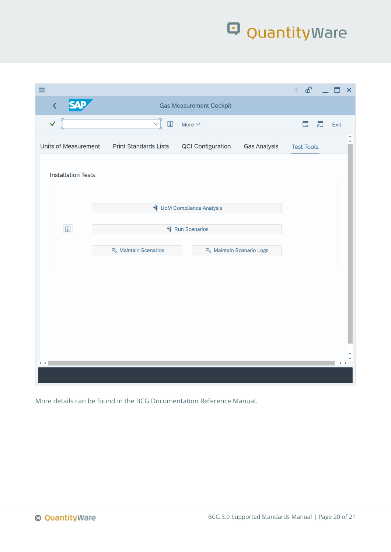| $\equiv$                              |                              |                                  |                          | $\leftarrow$ $\mathbf{F}$ | $\mathsf{X}$                        |
|---------------------------------------|------------------------------|----------------------------------|--------------------------|---------------------------|-------------------------------------|
| <b>SAP</b><br>$\overline{\mathbf{C}}$ |                              | <b>Gas Measurement Cockpit</b>   |                          |                           |                                     |
| $\checkmark$                          | $\hfill \square$<br>$\vee$   | More $\vee$                      |                          | $\overline{c}$<br>$\Box$  | Exit                                |
| <b>Units of Measurement</b>           | <b>Print Standards Lists</b> | <b>QCI Configuration</b>         | <b>Gas Analysis</b>      | <b>Test Tools</b>         | $\hat{\phantom{a}}$<br>$\checkmark$ |
| <b>Installation Tests</b>             |                              |                                  |                          |                           |                                     |
|                                       |                              |                                  |                          |                           |                                     |
|                                       |                              | <b>T</b> UoM Compliance Analysis |                          |                           |                                     |
| $\boxed{\mathbf{i}}$                  |                              | 국 Run Scenarios                  |                          |                           |                                     |
|                                       | ९ Maintain Scenarios         |                                  | ९ Maintain Scenario Logs |                           |                                     |
|                                       |                              |                                  |                          |                           |                                     |
|                                       |                              |                                  |                          |                           |                                     |
|                                       |                              |                                  |                          |                           |                                     |
|                                       |                              |                                  |                          |                           |                                     |
| $\langle \rangle$                     |                              |                                  |                          |                           | $\langle \rangle$                   |
|                                       |                              |                                  |                          |                           |                                     |

More details can be found in the BCG Documentation Reference Manual.